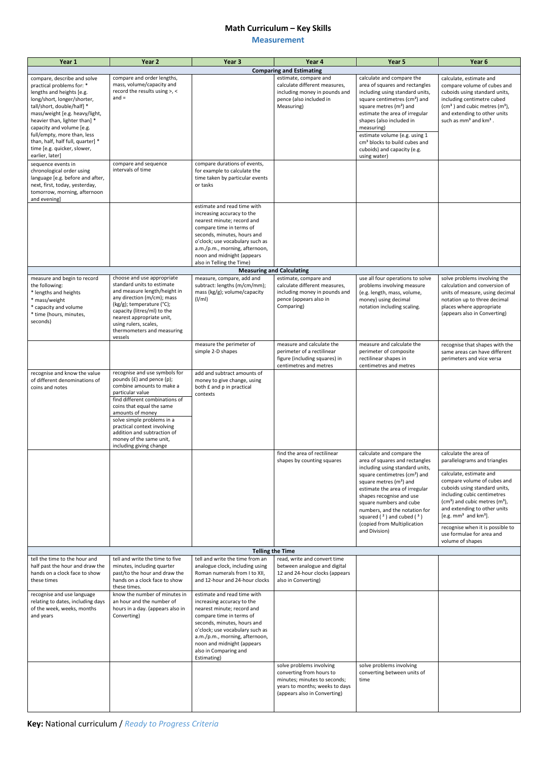## **Math Curriculum – Key Skills**

## **Measurement**

**Key:** National curriculum / *Ready to Progress Criteria*

| Year 1                                                                                                                                                                                                                                                                                                                                                                   | Year <sub>2</sub>                                                                                                                                                                                                                                                                                                                                     | Year 3                                                                                                                                                                                                                                                                                        | Year 4                                                                                                                                                 | Year 5                                                                                                                                                                                                                                                                                                                                                                                        | Year <sub>6</sub>                                                                                                                                                                                                                                                                                            |  |  |  |
|--------------------------------------------------------------------------------------------------------------------------------------------------------------------------------------------------------------------------------------------------------------------------------------------------------------------------------------------------------------------------|-------------------------------------------------------------------------------------------------------------------------------------------------------------------------------------------------------------------------------------------------------------------------------------------------------------------------------------------------------|-----------------------------------------------------------------------------------------------------------------------------------------------------------------------------------------------------------------------------------------------------------------------------------------------|--------------------------------------------------------------------------------------------------------------------------------------------------------|-----------------------------------------------------------------------------------------------------------------------------------------------------------------------------------------------------------------------------------------------------------------------------------------------------------------------------------------------------------------------------------------------|--------------------------------------------------------------------------------------------------------------------------------------------------------------------------------------------------------------------------------------------------------------------------------------------------------------|--|--|--|
|                                                                                                                                                                                                                                                                                                                                                                          |                                                                                                                                                                                                                                                                                                                                                       |                                                                                                                                                                                                                                                                                               | <b>Comparing and Estimating</b>                                                                                                                        |                                                                                                                                                                                                                                                                                                                                                                                               |                                                                                                                                                                                                                                                                                                              |  |  |  |
| compare, describe and solve<br>practical problems for: *<br>lengths and heights [e.g.<br>long/short, longer/shorter,<br>tall/short, double/half] *<br>mass/weight [e.g. heavy/light,<br>heavier than, lighter than] *<br>capacity and volume [e.g.<br>full/empty, more than, less<br>than, half, half full, quarter] *<br>time [e.g. quicker, slower,<br>earlier, later] | compare and order lengths,<br>mass, volume/capacity and<br>record the results using >, <<br>$and =$                                                                                                                                                                                                                                                   |                                                                                                                                                                                                                                                                                               | estimate, compare and<br>calculate different measures,<br>including money in pounds and<br>pence (also included in<br>Measuring)                       | calculate and compare the<br>area of squares and rectangles<br>including using standard units,<br>square centimetres (cm <sup>2</sup> ) and<br>square metres $(m2)$ and<br>estimate the area of irregular<br>shapes (also included in<br>measuring)<br>estimate volume (e.g. using 1<br>cm <sup>3</sup> blocks to build cubes and<br>cuboids) and capacity (e.g.<br>using water)              | calculate, estimate and<br>compare volume of cubes and<br>cuboids using standard units,<br>including centimetre cubed<br>$(cm3)$ and cubic metres $(m3)$ ,<br>and extending to other units<br>such as mm <sup>3</sup> and km <sup>3</sup> .                                                                  |  |  |  |
| sequence events in<br>chronological order using<br>language [e.g. before and after,<br>next, first, today, yesterday,<br>tomorrow, morning, afternoon<br>and evening]                                                                                                                                                                                                    | compare and sequence<br>intervals of time                                                                                                                                                                                                                                                                                                             | compare durations of events,<br>for example to calculate the<br>time taken by particular events<br>or tasks<br>estimate and read time with                                                                                                                                                    |                                                                                                                                                        |                                                                                                                                                                                                                                                                                                                                                                                               |                                                                                                                                                                                                                                                                                                              |  |  |  |
|                                                                                                                                                                                                                                                                                                                                                                          |                                                                                                                                                                                                                                                                                                                                                       | increasing accuracy to the<br>nearest minute; record and<br>compare time in terms of<br>seconds, minutes, hours and<br>o'clock; use vocabulary such as<br>a.m./p.m., morning, afternoon,<br>noon and midnight (appears<br>also in Telling the Time)                                           |                                                                                                                                                        |                                                                                                                                                                                                                                                                                                                                                                                               |                                                                                                                                                                                                                                                                                                              |  |  |  |
|                                                                                                                                                                                                                                                                                                                                                                          |                                                                                                                                                                                                                                                                                                                                                       | <b>Measuring and Calculating</b>                                                                                                                                                                                                                                                              |                                                                                                                                                        |                                                                                                                                                                                                                                                                                                                                                                                               |                                                                                                                                                                                                                                                                                                              |  |  |  |
| measure and begin to record<br>the following:<br>* lengths and heights<br>* mass/weight<br>* capacity and volume<br>* time (hours, minutes,<br>seconds)                                                                                                                                                                                                                  | choose and use appropriate<br>standard units to estimate<br>and measure length/height in<br>any direction (m/cm); mass<br>(kg/g); temperature (°C);<br>capacity (litres/ml) to the<br>nearest appropriate unit,<br>using rulers, scales,<br>thermometers and measuring<br>vessels                                                                     | measure, compare, add and<br>subtract: lengths (m/cm/mm);<br>mass (kg/g); volume/capacity<br>(I/ml)                                                                                                                                                                                           | estimate, compare and<br>calculate different measures,<br>including money in pounds and<br>pence (appears also in<br>Comparing)                        | use all four operations to solve<br>problems involving measure<br>(e.g. length, mass, volume,<br>money) using decimal<br>notation including scaling.                                                                                                                                                                                                                                          | solve problems involving the<br>calculation and conversion of<br>units of measure, using decimal<br>notation up to three decimal<br>places where appropriate<br>(appears also in Converting)                                                                                                                 |  |  |  |
|                                                                                                                                                                                                                                                                                                                                                                          |                                                                                                                                                                                                                                                                                                                                                       | measure the perimeter of<br>simple 2-D shapes                                                                                                                                                                                                                                                 | measure and calculate the<br>perimeter of a rectilinear<br>figure (including squares) in<br>centimetres and metres                                     | measure and calculate the<br>perimeter of composite<br>rectilinear shapes in<br>centimetres and metres                                                                                                                                                                                                                                                                                        | recognise that shapes with the<br>same areas can have different<br>perimeters and vice versa                                                                                                                                                                                                                 |  |  |  |
| recognise and know the value<br>of different denominations of<br>coins and notes                                                                                                                                                                                                                                                                                         | recognise and use symbols for<br>pounds $(E)$ and pence $(p)$ ;<br>combine amounts to make a<br>particular value<br>find different combinations of<br>coins that equal the same<br>amounts of money<br>solve simple problems in a<br>practical context involving<br>addition and subtraction of<br>money of the same unit,<br>including giving change | add and subtract amounts of<br>money to give change, using<br>both £ and p in practical<br>contexts                                                                                                                                                                                           |                                                                                                                                                        |                                                                                                                                                                                                                                                                                                                                                                                               |                                                                                                                                                                                                                                                                                                              |  |  |  |
|                                                                                                                                                                                                                                                                                                                                                                          |                                                                                                                                                                                                                                                                                                                                                       |                                                                                                                                                                                                                                                                                               | find the area of rectilinear<br>shapes by counting squares                                                                                             | calculate and compare the<br>area of squares and rectangles<br>including using standard units,<br>square centimetres (cm <sup>2</sup> ) and<br>square metres (m <sup>2</sup> ) and<br>estimate the area of irregular<br>shapes recognise and use<br>square numbers and cube<br>numbers, and the notation for<br>squared $(2)$ and cubed $(3)$<br>(copied from Multiplication<br>and Division) | calculate the area of<br>parallelograms and triangles                                                                                                                                                                                                                                                        |  |  |  |
|                                                                                                                                                                                                                                                                                                                                                                          |                                                                                                                                                                                                                                                                                                                                                       |                                                                                                                                                                                                                                                                                               |                                                                                                                                                        |                                                                                                                                                                                                                                                                                                                                                                                               | calculate, estimate and<br>compare volume of cubes and<br>cuboids using standard units,<br>including cubic centimetres<br>$(cm3)$ and cubic metres $(m3)$ ,<br>and extending to other units<br>[e.g. $mm3$ and $km3$ ].<br>recognise when it is possible to<br>use formulae for area and<br>volume of shapes |  |  |  |
| <b>Telling the Time</b>                                                                                                                                                                                                                                                                                                                                                  |                                                                                                                                                                                                                                                                                                                                                       |                                                                                                                                                                                                                                                                                               |                                                                                                                                                        |                                                                                                                                                                                                                                                                                                                                                                                               |                                                                                                                                                                                                                                                                                                              |  |  |  |
| tell the time to the hour and<br>half past the hour and draw the<br>hands on a clock face to show<br>these times                                                                                                                                                                                                                                                         | tell and write the time to five<br>minutes, including quarter<br>past/to the hour and draw the<br>hands on a clock face to show<br>these times.                                                                                                                                                                                                       | tell and write the time from an<br>analogue clock, including using<br>Roman numerals from I to XII,<br>and 12-hour and 24-hour clocks                                                                                                                                                         | read, write and convert time<br>between analogue and digital<br>12 and 24-hour clocks (appears<br>also in Converting)                                  |                                                                                                                                                                                                                                                                                                                                                                                               |                                                                                                                                                                                                                                                                                                              |  |  |  |
| recognise and use language<br>relating to dates, including days<br>of the week, weeks, months<br>and years                                                                                                                                                                                                                                                               | know the number of minutes in<br>an hour and the number of<br>hours in a day. (appears also in<br>Converting)                                                                                                                                                                                                                                         | estimate and read time with<br>increasing accuracy to the<br>nearest minute; record and<br>compare time in terms of<br>seconds, minutes, hours and<br>o'clock; use vocabulary such as<br>a.m./p.m., morning, afternoon,<br>noon and midnight (appears<br>also in Comparing and<br>Estimating) |                                                                                                                                                        |                                                                                                                                                                                                                                                                                                                                                                                               |                                                                                                                                                                                                                                                                                                              |  |  |  |
|                                                                                                                                                                                                                                                                                                                                                                          |                                                                                                                                                                                                                                                                                                                                                       |                                                                                                                                                                                                                                                                                               | solve problems involving<br>converting from hours to<br>minutes; minutes to seconds;<br>years to months; weeks to days<br>(appears also in Converting) | solve problems involving<br>converting between units of<br>time                                                                                                                                                                                                                                                                                                                               |                                                                                                                                                                                                                                                                                                              |  |  |  |